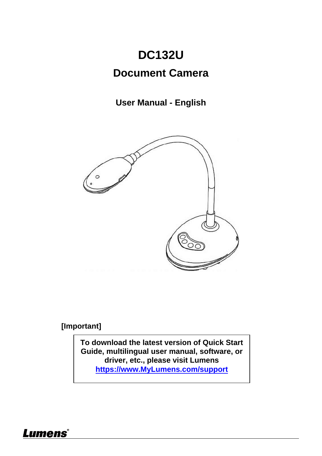# **DC132U**

### **Document Camera**

### **User Manual - English**



**[Important]**

**To download the latest version of Quick Start Guide, multilingual user manual, software, or driver, etc., please visit Lumens https://www.MyLumens.com/support**

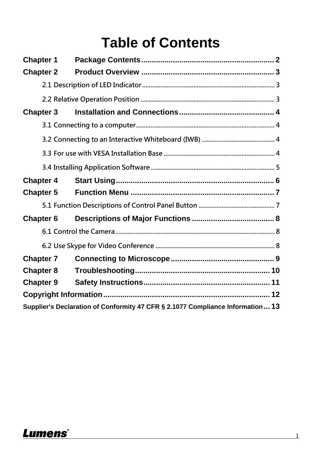# **Table of Contents**

| <b>Chapter 1</b> |  |                                                                                |  |  |  |  |
|------------------|--|--------------------------------------------------------------------------------|--|--|--|--|
| <b>Chapter 2</b> |  |                                                                                |  |  |  |  |
|                  |  |                                                                                |  |  |  |  |
|                  |  |                                                                                |  |  |  |  |
| <b>Chapter 3</b> |  |                                                                                |  |  |  |  |
|                  |  |                                                                                |  |  |  |  |
|                  |  |                                                                                |  |  |  |  |
|                  |  |                                                                                |  |  |  |  |
|                  |  |                                                                                |  |  |  |  |
| <b>Chapter 4</b> |  |                                                                                |  |  |  |  |
| <b>Chapter 5</b> |  |                                                                                |  |  |  |  |
|                  |  |                                                                                |  |  |  |  |
| <b>Chapter 6</b> |  |                                                                                |  |  |  |  |
|                  |  |                                                                                |  |  |  |  |
|                  |  |                                                                                |  |  |  |  |
| <b>Chapter 7</b> |  |                                                                                |  |  |  |  |
| <b>Chapter 8</b> |  |                                                                                |  |  |  |  |
| <b>Chapter 9</b> |  |                                                                                |  |  |  |  |
|                  |  |                                                                                |  |  |  |  |
|                  |  | Supplier's Declaration of Conformity 47 CFR § 2.1077 Compliance Information 13 |  |  |  |  |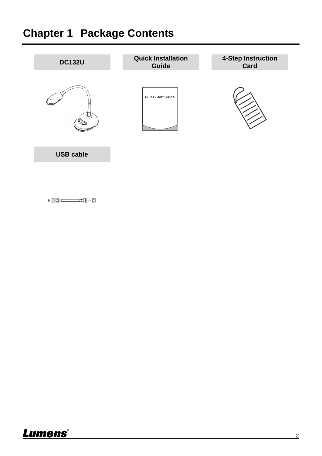# <span id="page-2-0"></span>**Chapter 1 Package Contents**



<u> (a) – a (a):</u>

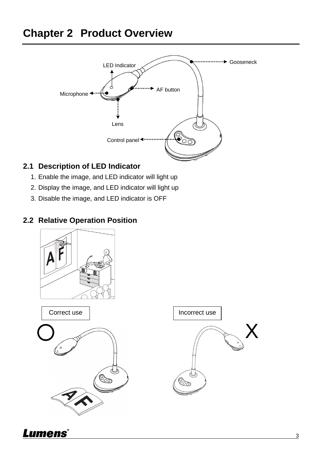# <span id="page-3-0"></span>**Chapter 2 Product Overview**



#### <span id="page-3-1"></span>**2.1 Description of LED Indicator**

- 1. Enable the image, and LED indicator will light up
- 2. Display the image, and LED indicator will light up
- 3. Disable the image, and LED indicator is OFF

#### <span id="page-3-2"></span>**2.2 Relative Operation Position**



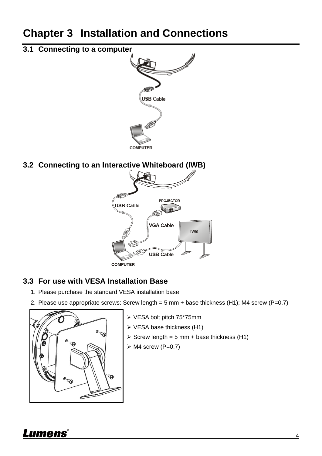## <span id="page-4-0"></span>**Chapter 3 Installation and Connections**

### <span id="page-4-1"></span>**3.1 Connecting to a computer**



### <span id="page-4-2"></span>**3.2 Connecting to an Interactive Whiteboard (IWB)**



#### <span id="page-4-3"></span>**3.3 For use with VESA Installation Base**

- 1. Please purchase the standard VESA installation base
- 2. Please use appropriate screws: Screw length = 5 mm + base thickness (H1); M4 screw (P=0.7)



- VESA bolt pitch 75\*75mm
- ▶ VESA base thickness (H1)
- $\geq$  Screw length = 5 mm + base thickness (H1)
- $\triangleright$  M4 screw (P=0.7)

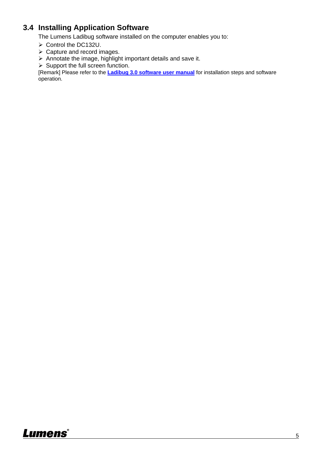#### <span id="page-5-0"></span>**3.4 Installing Application Software**

The Lumens Ladibug software installed on the computer enables you to:

- Control the DC132U.
- $\triangleright$  Capture and record images.
- $\triangleright$  Annotate the image, highlight important details and save it.
- $\triangleright$  Support the full screen function.

[Remark] Please refer to the **Ladibug 3.0 software user manual** for installation steps and software operation.

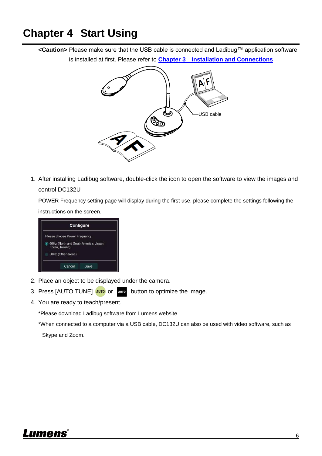### <span id="page-6-0"></span>**Chapter 4 Start Using**

**<Caution>** Please make sure that the USB cable is connected and Ladibug™ application software is installed at first. Please refer to **Chapter 3 Installation and Connections**



1. After installing Ladibug software, double-click the icon to open the software to view the images and control DC132U

POWER Frequency setting page will display during the first use, please complete the settings following the instructions on the screen.



- 2. Place an object to be displayed under the camera.
- 3. Press [AUTO TUNE] **AUTO** or and button to optimize the image.
- 4. You are ready to teach/present.

\*Please download Ladibug software from Lumens website.

\*When connected to a computer via a USB cable, DC132U can also be used with video software, such as

Skype and Zoom.

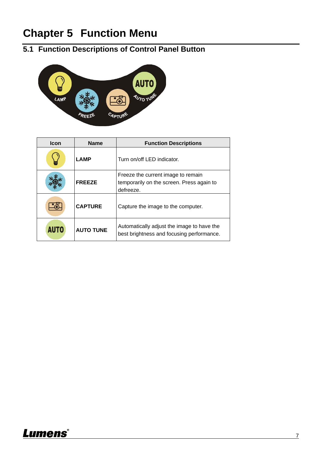# <span id="page-7-0"></span>**Chapter 5 Function Menu**

### <span id="page-7-1"></span>**5.1 Function Descriptions of Control Panel Button**



| <b>Icon</b> | <b>Name</b>      | <b>Function Descriptions</b>                                                                 |
|-------------|------------------|----------------------------------------------------------------------------------------------|
|             | <b>LAMP</b>      | Turn on/off LED indicator.                                                                   |
|             | <b>FREEZE</b>    | Freeze the current image to remain<br>temporarily on the screen. Press again to<br>defreeze. |
|             | <b>CAPTURE</b>   | Capture the image to the computer.                                                           |
| <b>AUTO</b> | <b>AUTO TUNE</b> | Automatically adjust the image to have the<br>best brightness and focusing performance.      |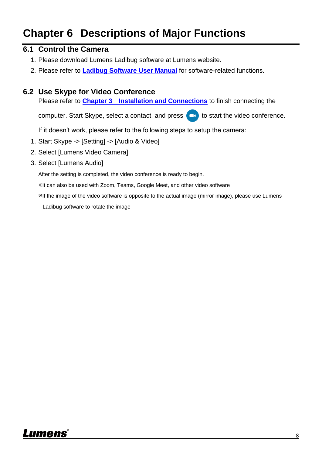# <span id="page-8-0"></span>**Chapter 6 Descriptions of Major Functions**

#### <span id="page-8-1"></span>**6.1 Control the Camera**

- 1. Please download Lumens Ladibug software at Lumens website.
- 2. Please refer to **Ladibug Software User Manual** for software-related functions.

#### <span id="page-8-2"></span>**6.2 Use Skype for Video Conference**

Please refer to **Chapter 3 Installation and Connections** to finish connecting the

computer. Start Skype, select a contact, and press **that i** to start the video conference.

If it doesn't work, please refer to the following steps to setup the camera:

- 1. Start Skype -> [Setting] -> [Audio & Video]
- 2. Select [Lumens Video Camera]
- 3. Select [Lumens Audio]

After the setting is completed, the video conference is ready to begin.

It can also be used with Zoom, Teams, Google Meet, and other video software

If the image of the video software is opposite to the actual image (mirror image), please use Lumens

Ladibug software to rotate the image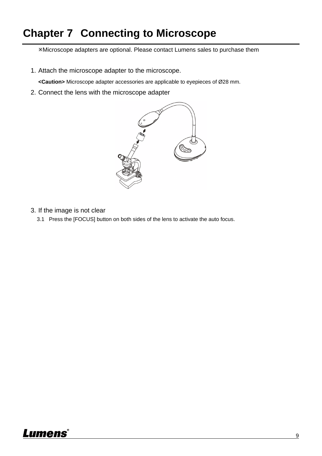## <span id="page-9-0"></span>**Chapter 7 Connecting to Microscope**

Microscope adapters are optional. Please contact Lumens sales to purchase them

1. Attach the microscope adapter to the microscope.

<Caution> Microscope adapter accessories are applicable to eyepieces of Ø28 mm.

2. Connect the lens with the microscope adapter



- 3. If the image is not clear
	- 3.1 Press the [FOCUS] button on both sides of the lens to activate the auto focus.

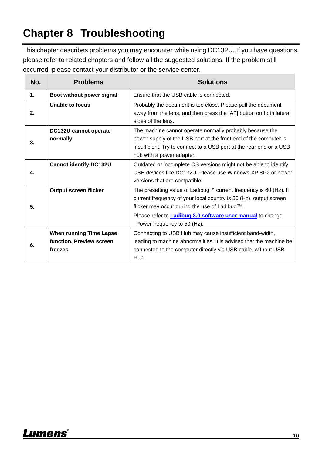# <span id="page-10-0"></span>**Chapter 8 Troubleshooting**

This chapter describes problems you may encounter while using DC132U. If you have questions, please refer to related chapters and follow all the suggested solutions. If the problem still occurred, please contact your distributor or the service center.

| No. | <b>Problems</b>                                                       | <b>Solutions</b>                                                                                                                                                                                                                                                                            |
|-----|-----------------------------------------------------------------------|---------------------------------------------------------------------------------------------------------------------------------------------------------------------------------------------------------------------------------------------------------------------------------------------|
| 1.  | Boot without power signal                                             | Ensure that the USB cable is connected.                                                                                                                                                                                                                                                     |
| 2.  | Unable to focus                                                       | Probably the document is too close. Please pull the document<br>away from the lens, and then press the [AF] button on both lateral<br>sides of the lens.                                                                                                                                    |
| 3.  | DC132U cannot operate<br>normally                                     | The machine cannot operate normally probably because the<br>power supply of the USB port at the front end of the computer is<br>insufficient. Try to connect to a USB port at the rear end or a USB<br>hub with a power adapter.                                                            |
| 4.  | <b>Cannot identify DC132U</b>                                         | Outdated or incomplete OS versions might not be able to identify<br>USB devices like DC132U. Please use Windows XP SP2 or newer<br>versions that are compatible.                                                                                                                            |
| 5.  | <b>Output screen flicker</b>                                          | The presetting value of Ladibug™ current frequency is 60 (Hz). If<br>current frequency of your local country is 50 (Hz), output screen<br>flicker may occur during the use of Ladibug™.<br>Please refer to <b>Ladibug 3.0 software user manual</b> to change<br>Power frequency to 50 (Hz). |
| 6.  | <b>When running Time Lapse</b><br>function, Preview screen<br>freezes | Connecting to USB Hub may cause insufficient band-width,<br>leading to machine abnormalities. It is advised that the machine be<br>connected to the computer directly via USB cable, without USB<br>Hub.                                                                                    |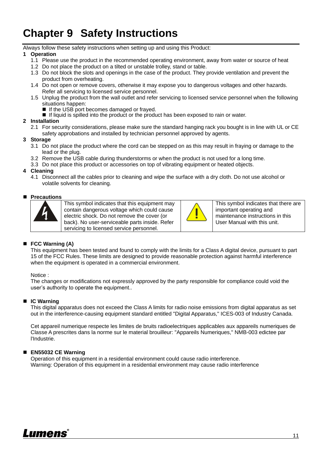# <span id="page-11-0"></span>**Chapter 9 Safety Instructions**

Always follow these safety instructions when setting up and using this Product:

#### **1 Operation**

- 1.1 Please use the product in the recommended operating environment, away from water or source of heat
- 1.2 Do not place the product on a tilted or unstable trolley, stand or table.
- 1.3 Do not block the slots and openings in the case of the product. They provide ventilation and prevent the product from overheating.
- 1.4 Do not open or remove covers, otherwise it may expose you to dangerous voltages and other hazards. Refer all servicing to licensed service personnel.
- 1.5 Unplug the product from the wall outlet and refer servicing to licensed service personnel when the following situations happen:
	- If the USB port becomes damaged or frayed.
	- If liquid is spilled into the product or the product has been exposed to rain or water.

#### **2 Installation**

2.1 For security considerations, please make sure the standard hanging rack you bought is in line with UL or CE safety approbations and installed by technician personnel approved by agents.

#### **3 Storage**

- 3.1 Do not place the product where the cord can be stepped on as this may result in fraying or damage to the lead or the plug.
- 3.2 Remove the USB cable during thunderstorms or when the product is not used for a long time.
- 3.3 Do not place this product or accessories on top of vibrating equipment or heated objects.

#### **4 Cleaning**

4.1 Disconnect all the cables prior to cleaning and wipe the surface with a dry cloth. Do not use alcohol or volatile solvents for cleaning.

#### **Precautions**



This symbol indicates that this equipment may contain dangerous voltage which could cause electric shock. Do not remove the cover (or back). No user-serviceable parts inside. Refer servicing to licensed service personnel.



This symbol indicates that there are important operating and maintenance instructions in this User Manual with this unit.

#### ■ FCC Warning (A)

This equipment has been tested and found to comply with the limits for a Class A digital device, pursuant to part 15 of the FCC Rules. These limits are designed to provide reasonable protection against harmful interference when the equipment is operated in a commercial environment.

#### Notice :

The changes or modifications not expressly approved by the party responsible for compliance could void the user's authority to operate the equipment..

#### **IC Warning**

This digital apparatus does not exceed the Class A limits for radio noise emissions from digital apparatus as set out in the interference-causing equipment standard entitled "Digital Apparatus," ICES-003 of Industry Canada.

Cet appareil numerique respecte les limites de bruits radioelectriques applicables aux appareils numeriques de Classe A prescrites dans la norme sur le material brouilleur: "Appareils Numeriques," NMB-003 edictee par l'Industrie.

#### **EN55032 CE Warning**

Operation of this equipment in a residential environment could cause radio interference. Warning: Operation of this equipment in a residential environment may cause radio interference

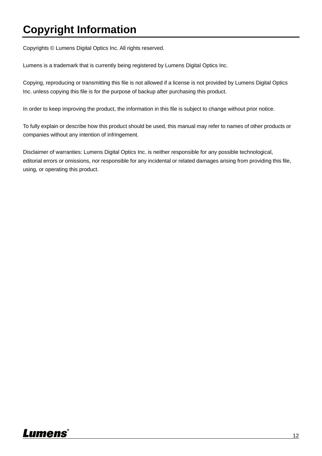# <span id="page-12-0"></span>**Copyright Information**

Copyrights © Lumens Digital Optics Inc. All rights reserved.

Lumens is a trademark that is currently being registered by Lumens Digital Optics Inc.

Copying, reproducing or transmitting this file is not allowed if a license is not provided by Lumens Digital Optics Inc. unless copying this file is for the purpose of backup after purchasing this product.

In order to keep improving the product, the information in this file is subject to change without prior notice.

To fully explain or describe how this product should be used, this manual may refer to names of other products or companies without any intention of infringement.

Disclaimer of warranties: Lumens Digital Optics Inc. is neither responsible for any possible technological, editorial errors or omissions, nor responsible for any incidental or related damages arising from providing this file, using, or operating this product.